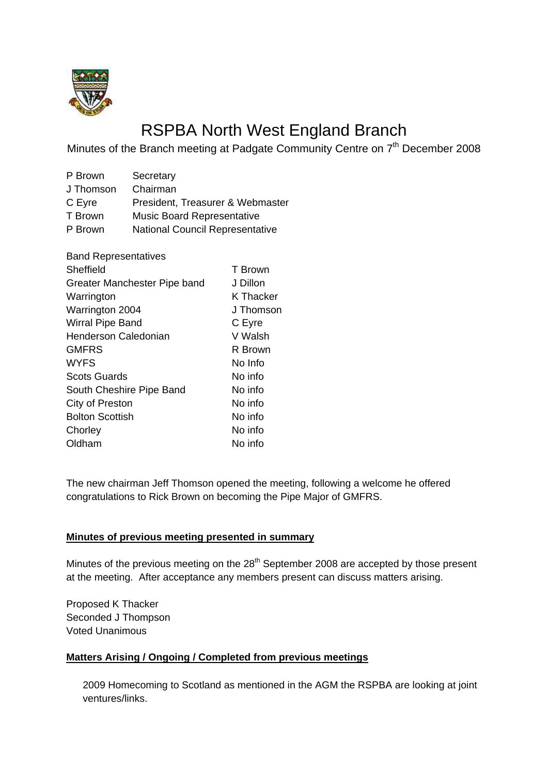

# RSPBA North West England Branch

Minutes of the Branch meeting at Padgate Community Centre on 7<sup>th</sup> December 2008

| P Brown   | Secretary                              |
|-----------|----------------------------------------|
| J Thomson | Chairman                               |
| C Eyre    | President, Treasurer & Webmaster       |
| T Brown   | <b>Music Board Representative</b>      |
| P Brown   | <b>National Council Representative</b> |

| <b>Band Representatives</b>  |           |
|------------------------------|-----------|
| Sheffield                    | T Brown   |
| Greater Manchester Pipe band | J Dillon  |
| Warrington                   | K Thacker |
| Warrington 2004              | J Thomson |
| Wirral Pipe Band             | C Eyre    |
| Henderson Caledonian         | V Walsh   |
| <b>GMFRS</b>                 | R Brown   |
| <b>WYFS</b>                  | No Info   |
| <b>Scots Guards</b>          | No info   |
| South Cheshire Pipe Band     | No info   |
| City of Preston              | No info   |
| <b>Bolton Scottish</b>       | No info   |
| Chorley                      | No info   |
| Oldham                       | No info   |

The new chairman Jeff Thomson opened the meeting, following a welcome he offered congratulations to Rick Brown on becoming the Pipe Major of GMFRS.

#### **Minutes of previous meeting presented in summary**

Minutes of the previous meeting on the 28<sup>th</sup> September 2008 are accepted by those present at the meeting. After acceptance any members present can discuss matters arising.

Proposed K Thacker Seconded J Thompson Voted Unanimous

# **Matters Arising / Ongoing / Completed from previous meetings**

 2009 Homecoming to Scotland as mentioned in the AGM the RSPBA are looking at joint ventures/links.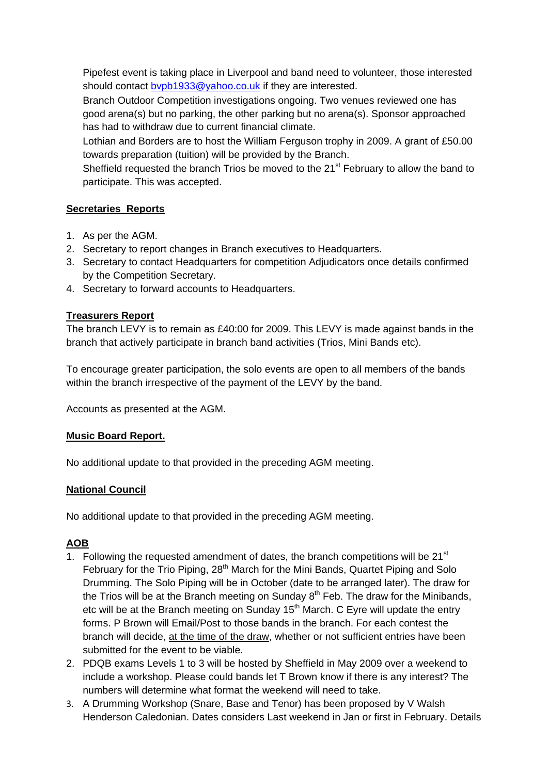Pipefest event is taking place in Liverpool and band need to volunteer, those interested should contact bypb1933@yahoo.co.uk if they are interested.

 Branch Outdoor Competition investigations ongoing. Two venues reviewed one has good arena(s) but no parking, the other parking but no arena(s). Sponsor approached has had to withdraw due to current financial climate.

 Lothian and Borders are to host the William Ferguson trophy in 2009. A grant of £50.00 towards preparation (tuition) will be provided by the Branch.

Sheffield requested the branch Trios be moved to the  $21<sup>st</sup>$  February to allow the band to participate. This was accepted.

## **Secretaries Reports**

- 1. As per the AGM.
- 2. Secretary to report changes in Branch executives to Headquarters.
- 3. Secretary to contact Headquarters for competition Adjudicators once details confirmed by the Competition Secretary.
- 4. Secretary to forward accounts to Headquarters.

## **Treasurers Report**

The branch LEVY is to remain as £40:00 for 2009. This LEVY is made against bands in the branch that actively participate in branch band activities (Trios, Mini Bands etc).

To encourage greater participation, the solo events are open to all members of the bands within the branch irrespective of the payment of the LEVY by the band.

Accounts as presented at the AGM.

#### **Music Board Report.**

No additional update to that provided in the preceding AGM meeting.

## **National Council**

No additional update to that provided in the preceding AGM meeting.

## **AOB**

- 1. Following the requested amendment of dates, the branch competitions will be  $21<sup>st</sup>$ February for the Trio Piping, 28<sup>th</sup> March for the Mini Bands, Quartet Piping and Solo Drumming. The Solo Piping will be in October (date to be arranged later). The draw for the Trios will be at the Branch meeting on Sunday  $8<sup>th</sup>$  Feb. The draw for the Minibands, etc will be at the Branch meeting on Sunday 15<sup>th</sup> March. C Eyre will update the entry forms. P Brown will Email/Post to those bands in the branch. For each contest the branch will decide, at the time of the draw, whether or not sufficient entries have been submitted for the event to be viable.
- 2. PDQB exams Levels 1 to 3 will be hosted by Sheffield in May 2009 over a weekend to include a workshop. Please could bands let T Brown know if there is any interest? The numbers will determine what format the weekend will need to take.
- 3. A Drumming Workshop (Snare, Base and Tenor) has been proposed by V Walsh Henderson Caledonian. Dates considers Last weekend in Jan or first in February. Details